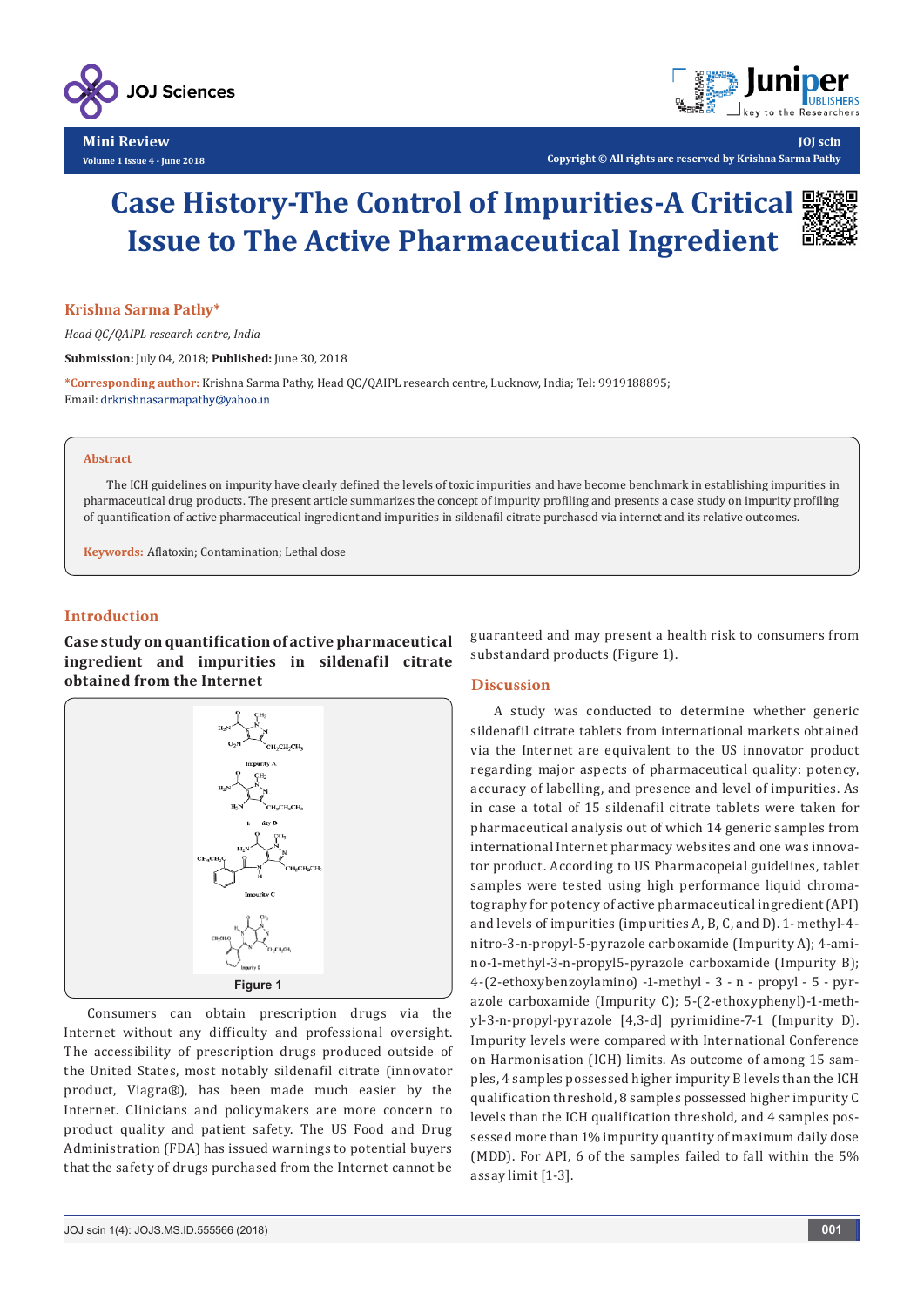

**Mini Review Volume 1 Issue 4 - June 2018**



**Copyright © All rights are reserved by Krishna Sarma Pathy**

# **Case History-The Control of Impurities-A Critical Issue to The Active Pharmaceutical Ingredient**



**JOJ scin**

## **Krishna Sarma Pathy\***

*Head QC/QAIPL research centre, India*

**Submission:** July 04, 2018; **Published:** June 30, 2018

**\*Corresponding author:** Krishna Sarma Pathy, Head QC/QAIPL research centre, Lucknow, India; Tel: 9919188895; Email: drkrishnasarmapathy@yahoo.in

#### **Abstract**

The ICH guidelines on impurity have clearly defined the levels of toxic impurities and have become benchmark in establishing impurities in pharmaceutical drug products. The present article summarizes the concept of impurity profiling and presents a case study on impurity profiling of quantification of active pharmaceutical ingredient and impurities in sildenafil citrate purchased via internet and its relative outcomes.

**Keywords:** Aflatoxin; Contamination; Lethal dose

# **Introduction**

**Case study on quantification of active pharmaceutical ingredient and impurities in sildenafil citrate obtained from the Internet**



Consumers can obtain prescription drugs via the Internet without any difficulty and professional oversight. The accessibility of prescription drugs produced outside of the United States, most notably sildenafil citrate (innovator product, Viagra®), has been made much easier by the Internet. Clinicians and policymakers are more concern to product quality and patient safety. The US Food and Drug Administration (FDA) has issued warnings to potential buyers that the safety of drugs purchased from the Internet cannot be guaranteed and may present a health risk to consumers from substandard products (Figure 1).

#### **Discussion**

A study was conducted to determine whether generic sildenafil citrate tablets from international markets obtained via the Internet are equivalent to the US innovator product regarding major aspects of pharmaceutical quality: potency, accuracy of labelling, and presence and level of impurities. As in case a total of 15 sildenafil citrate tablets were taken for pharmaceutical analysis out of which 14 generic samples from international Internet pharmacy websites and one was innovator product. According to US Pharmacopeial guidelines, tablet samples were tested using high performance liquid chromatography for potency of active pharmaceutical ingredient (API) and levels of impurities (impurities A, B, C, and D). 1- methyl-4 nitro-3-n-propyl-5-pyrazole carboxamide (Impurity A); 4-amino-1-methyl-3-n-propyl5-pyrazole carboxamide (Impurity B); 4-(2-ethoxybenzoylamino) -1-methyl - 3 - n - propyl - 5 - pyrazole carboxamide (Impurity C); 5-(2-ethoxyphenyl)-1-methyl-3-n-propyl-pyrazole [4,3-d] pyrimidine-7-1 (Impurity D). Impurity levels were compared with International Conference on Harmonisation (ICH) limits. As outcome of among 15 samples, 4 samples possessed higher impurity B levels than the ICH qualification threshold, 8 samples possessed higher impurity C levels than the ICH qualification threshold, and 4 samples possessed more than 1% impurity quantity of maximum daily dose (MDD). For API, 6 of the samples failed to fall within the 5% assay limit [1-3].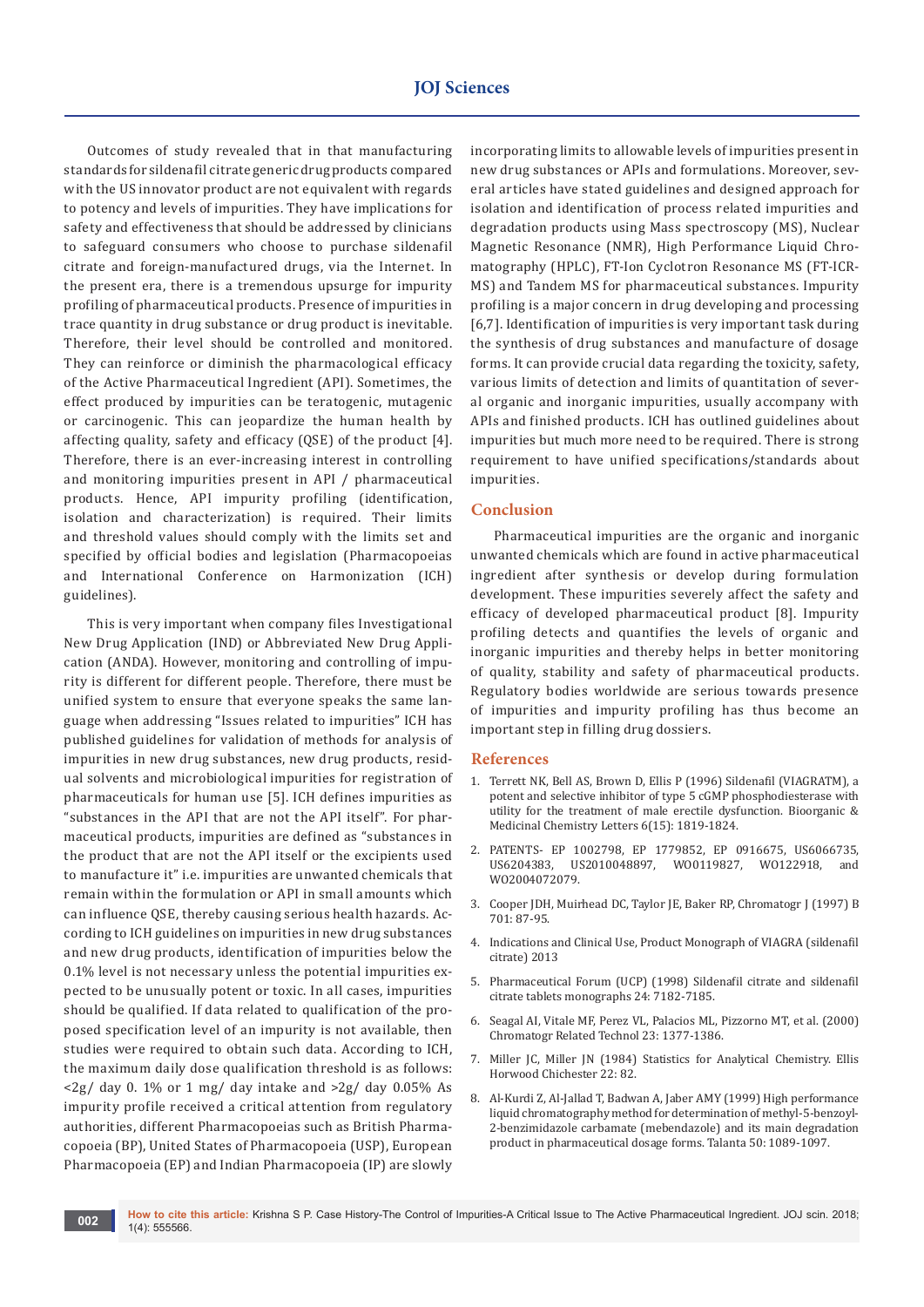Outcomes of study revealed that in that manufacturing standards for sildenafil citrate generic drug products compared with the US innovator product are not equivalent with regards to potency and levels of impurities. They have implications for safety and effectiveness that should be addressed by clinicians to safeguard consumers who choose to purchase sildenafil citrate and foreign-manufactured drugs, via the Internet. In the present era, there is a tremendous upsurge for impurity profiling of pharmaceutical products. Presence of impurities in trace quantity in drug substance or drug product is inevitable. Therefore, their level should be controlled and monitored. They can reinforce or diminish the pharmacological efficacy of the Active Pharmaceutical Ingredient (API). Sometimes, the effect produced by impurities can be teratogenic, mutagenic or carcinogenic. This can jeopardize the human health by affecting quality, safety and efficacy (QSE) of the product [4]. Therefore, there is an ever-increasing interest in controlling and monitoring impurities present in API / pharmaceutical products. Hence, API impurity profiling (identification, isolation and characterization) is required. Their limits and threshold values should comply with the limits set and specified by official bodies and legislation (Pharmacopoeias and International Conference on Harmonization (ICH) guidelines).

This is very important when company files Investigational New Drug Application (IND) or Abbreviated New Drug Application (ANDA). However, monitoring and controlling of impurity is different for different people. Therefore, there must be unified system to ensure that everyone speaks the same language when addressing "Issues related to impurities" ICH has published guidelines for validation of methods for analysis of impurities in new drug substances, new drug products, residual solvents and microbiological impurities for registration of pharmaceuticals for human use [5]. ICH defines impurities as "substances in the API that are not the API itself". For pharmaceutical products, impurities are defined as "substances in the product that are not the API itself or the excipients used to manufacture it" i.e. impurities are unwanted chemicals that remain within the formulation or API in small amounts which can influence QSE, thereby causing serious health hazards. According to ICH guidelines on impurities in new drug substances and new drug products, identification of impurities below the 0.1% level is not necessary unless the potential impurities expected to be unusually potent or toxic. In all cases, impurities should be qualified. If data related to qualification of the proposed specification level of an impurity is not available, then studies were required to obtain such data. According to ICH, the maximum daily dose qualification threshold is as follows:  $\langle 2g/$  day 0. 1% or 1 mg/ day intake and  $\langle 2g/$  day 0.05% As impurity profile received a critical attention from regulatory authorities, different Pharmacopoeias such as British Pharmacopoeia (BP), United States of Pharmacopoeia (USP), European Pharmacopoeia (EP) and Indian Pharmacopoeia (IP) are slowly

incorporating limits to allowable levels of impurities present in new drug substances or APIs and formulations. Moreover, several articles have stated guidelines and designed approach for isolation and identification of process related impurities and degradation products using Mass spectroscopy (MS), Nuclear Magnetic Resonance (NMR), High Performance Liquid Chromatography (HPLC), FT-Ion Cyclotron Resonance MS (FT-ICR-MS) and Tandem MS for pharmaceutical substances. Impurity profiling is a major concern in drug developing and processing [6,7]. Identification of impurities is very important task during the synthesis of drug substances and manufacture of dosage forms. It can provide crucial data regarding the toxicity, safety, various limits of detection and limits of quantitation of several organic and inorganic impurities, usually accompany with APIs and finished products. ICH has outlined guidelines about impurities but much more need to be required. There is strong requirement to have unified specifications/standards about impurities.

## **Conclusion**

Pharmaceutical impurities are the organic and inorganic unwanted chemicals which are found in active pharmaceutical ingredient after synthesis or develop during formulation development. These impurities severely affect the safety and efficacy of developed pharmaceutical product [8]. Impurity profiling detects and quantifies the levels of organic and inorganic impurities and thereby helps in better monitoring of quality, stability and safety of pharmaceutical products. Regulatory bodies worldwide are serious towards presence of impurities and impurity profiling has thus become an important step in filling drug dossiers.

#### **References**

- 1. [Terrett NK, Bell AS, Brown D, Ellis P \(1996\) Sildenafil \(VIAGRATM\), a](https://www.sciencedirect.com/science/article/pii/0960894X9600323X)  [potent and selective inhibitor of type 5 cGMP phosphodiesterase with](https://www.sciencedirect.com/science/article/pii/0960894X9600323X)  [utility for the treatment of male erectile dysfunction. Bioorganic &](https://www.sciencedirect.com/science/article/pii/0960894X9600323X)  [Medicinal Chemistry Letters 6\(15\): 1819-1824.](https://www.sciencedirect.com/science/article/pii/0960894X9600323X)
- 2. PATENTS- EP 1002798, EP 1779852, EP 0916675, US6066735, US2010048897, WO0119827, WO122918, and WO2004072079.
- 3. Cooper JDH, Muirhead DC, Taylor JE, Baker RP, Chromatogr J (1997) B 701: 87-95.
- 4. Indications and Clinical Use, Product Monograph of VIAGRA (sildenafil citrate) 2013
- 5. Pharmaceutical Forum (UCP) (1998) Sildenafil citrate and sildenafil citrate tablets monographs 24: 7182-7185.
- 6. Seagal AI, Vitale MF, Perez VL, Palacios ML, Pizzorno MT, et al. (2000) Chromatogr Related Technol 23: 1377-1386.
- 7. Miller JC, Miller JN (1984) Statistics for Analytical Chemistry. Ellis Horwood Chichester 22: 82.
- 8. [Al-Kurdi Z, Al-Jallad T, Badwan A, Jaber AMY \(1999\) High performance](http://europepmc.org/abstract/MED/18967804)  [liquid chromatography method for determination of methyl-5-benzoyl-](http://europepmc.org/abstract/MED/18967804)[2-benzimidazole carbamate \(mebendazole\) and its main degradation](http://europepmc.org/abstract/MED/18967804)  [product in pharmaceutical dosage forms. Talanta 50: 1089-1097.](http://europepmc.org/abstract/MED/18967804)